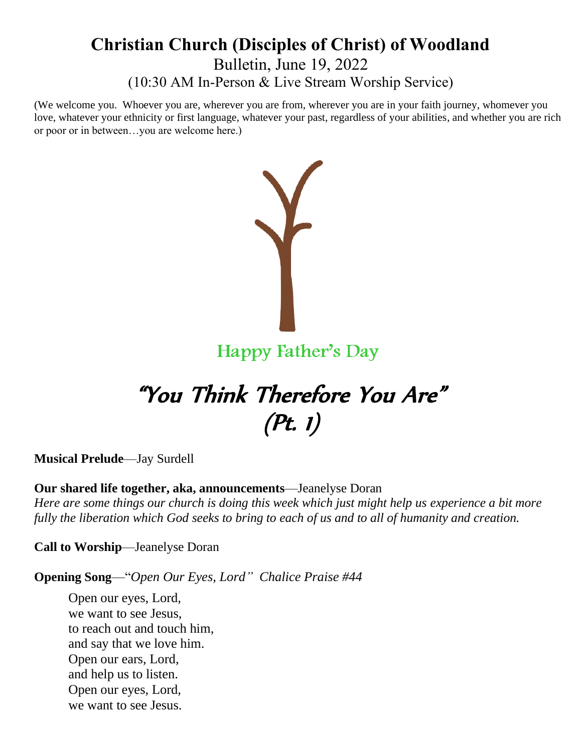### **Christian Church (Disciples of Christ) of Woodland** Bulletin, June 19, 2022 (10:30 AM In-Person & Live Stream Worship Service)

(We welcome you. Whoever you are, wherever you are from, wherever you are in your faith journey, whomever you love, whatever your ethnicity or first language, whatever your past, regardless of your abilities, and whether you are rich or poor or in between…you are welcome here.)



Happy Father's Day

# "You Think Therefore You Are" (Pt. 1)

**Musical Prelude**—Jay Surdell

#### **Our shared life together, aka, announcements**—Jeanelyse Doran

*Here are some things our church is doing this week which just might help us experience a bit more fully the liberation which God seeks to bring to each of us and to all of humanity and creation.*

**Call to Worship**—Jeanelyse Doran

**Opening Song**—"*Open Our Eyes, Lord" Chalice Praise #44*

Open our eyes, Lord, we want to see Jesus, to reach out and touch him, and say that we love him. Open our ears, Lord, and help us to listen. Open our eyes, Lord, we want to see Jesus.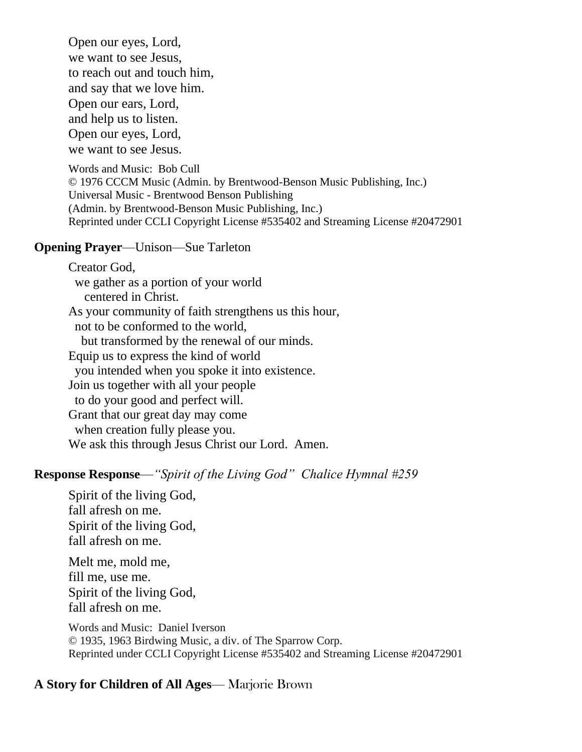Open our eyes, Lord, we want to see Jesus, to reach out and touch him, and say that we love him. Open our ears, Lord, and help us to listen. Open our eyes, Lord, we want to see Jesus.

Words and Music: Bob Cull © 1976 CCCM Music (Admin. by Brentwood-Benson Music Publishing, Inc.) Universal Music - Brentwood Benson Publishing (Admin. by Brentwood-Benson Music Publishing, Inc.) Reprinted under CCLI Copyright License #535402 and Streaming License #20472901

#### **Opening Prayer**—Unison—Sue Tarleton

Creator God, we gather as a portion of your world centered in Christ. As your community of faith strengthens us this hour, not to be conformed to the world, but transformed by the renewal of our minds. Equip us to express the kind of world you intended when you spoke it into existence. Join us together with all your people to do your good and perfect will. Grant that our great day may come when creation fully please you. We ask this through Jesus Christ our Lord. Amen.

#### **Response Response**—*"Spirit of the Living God" Chalice Hymnal #259*

Spirit of the living God, fall afresh on me. Spirit of the living God, fall afresh on me.

Melt me, mold me, fill me, use me. Spirit of the living God, fall afresh on me.

Words and Music: Daniel Iverson © 1935, 1963 Birdwing Music, a div. of The Sparrow Corp. Reprinted under CCLI Copyright License #535402 and Streaming License #20472901

#### **A Story for Children of All Ages**— Marjorie Brown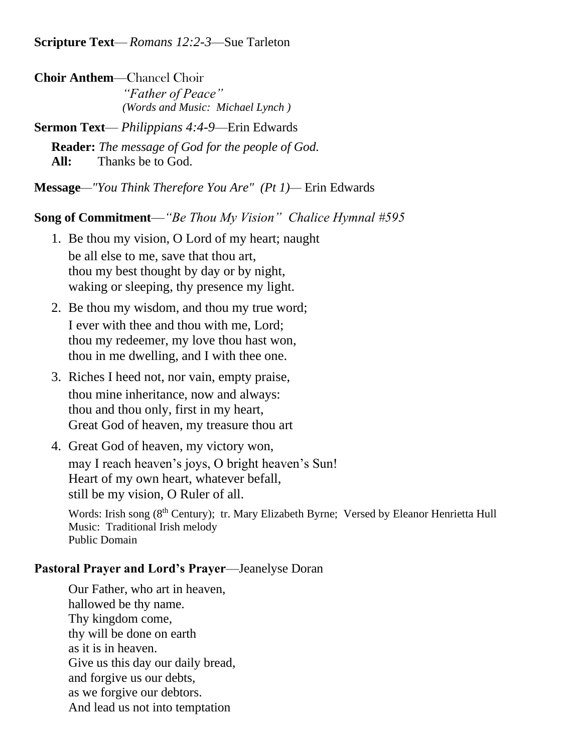**Choir Anthem**—Chancel Choir  *"Father of Peace" (Words and Music: Michael Lynch )* 

**Sermon Text**— *Philippians 4:4-9*—Erin Edwards **Reader:** *The message of God for the people of God.* **All:** Thanks be to God.

**Message***—"You Think Therefore You Are" (Pt 1)—* Erin Edwards

**Song of Commitment**—*"Be Thou My Vision" Chalice Hymnal #595*

- 1. Be thou my vision, O Lord of my heart; naught be all else to me, save that thou art, thou my best thought by day or by night, waking or sleeping, thy presence my light.
- 2. Be thou my wisdom, and thou my true word; I ever with thee and thou with me, Lord; thou my redeemer, my love thou hast won, thou in me dwelling, and I with thee one.
- 3. Riches I heed not, nor vain, empty praise, thou mine inheritance, now and always: thou and thou only, first in my heart, Great God of heaven, my treasure thou art
- 4. Great God of heaven, my victory won, may I reach heaven's joys, O bright heaven's Sun! Heart of my own heart, whatever befall, still be my vision, O Ruler of all.

Words: Irish song (8<sup>th</sup> Century); tr. Mary Elizabeth Byrne; Versed by Eleanor Henrietta Hull Music: Traditional Irish melody Public Domain

#### **Pastoral Prayer and Lord's Prayer**—Jeanelyse Doran

Our Father, who art in heaven, hallowed be thy name. Thy kingdom come, thy will be done on earth as it is in heaven. Give us this day our daily bread, and forgive us our debts, as we forgive our debtors. And lead us not into temptation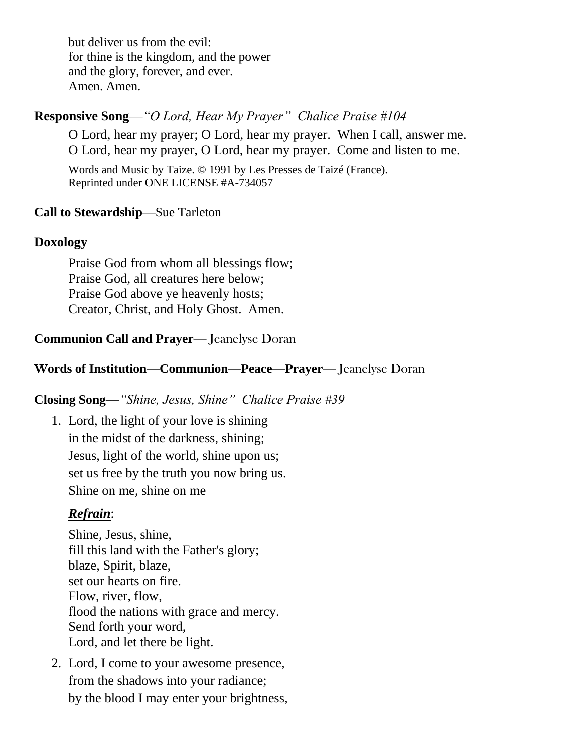but deliver us from the evil: for thine is the kingdom, and the power and the glory, forever, and ever. Amen. Amen.

#### **Responsive Song**—*"O Lord, Hear My Prayer" Chalice Praise #104*

O Lord, hear my prayer; O Lord, hear my prayer. When I call, answer me. O Lord, hear my prayer, O Lord, hear my prayer. Come and listen to me.

Words and Music by Taize. © 1991 by Les Presses de Taizé (France). Reprinted under ONE LICENSE #A-734057

#### **Call to Stewardship**—Sue Tarleton

#### **Doxology**

Praise God from whom all blessings flow; Praise God, all creatures here below; Praise God above ye heavenly hosts; Creator, Christ, and Holy Ghost. Amen.

#### **Communion Call and Prayer**— Jeanelyse Doran

#### W**ords of Institution—Communion—Peace—Prayer**— Jeanelyse Doran

**Closing Song**—*"Shine, Jesus, Shine" Chalice Praise #39* 

1. Lord, the light of your love is shining in the midst of the darkness, shining; Jesus, light of the world, shine upon us; set us free by the truth you now bring us. Shine on me, shine on me

#### *Refrain*:

Shine, Jesus, shine, fill this land with the Father's glory; blaze, Spirit, blaze, set our hearts on fire. Flow, river, flow, flood the nations with grace and mercy. Send forth your word, Lord, and let there be light.

2. Lord, I come to your awesome presence, from the shadows into your radiance; by the blood I may enter your brightness,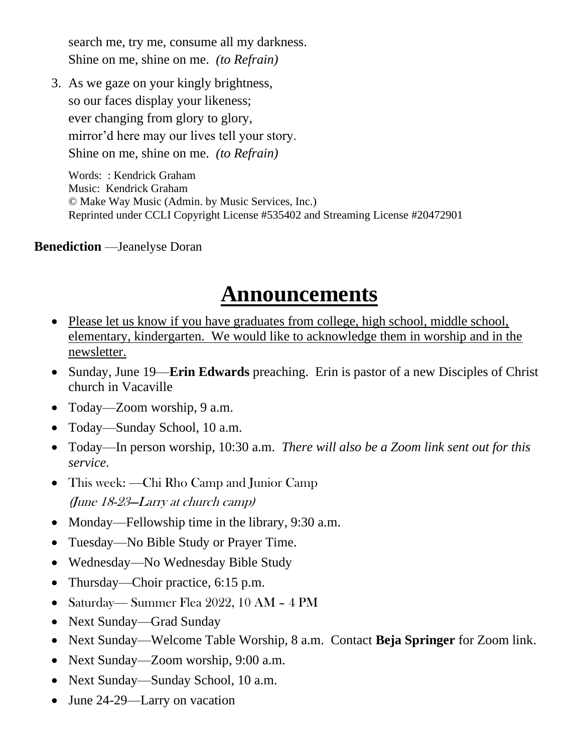search me, try me, consume all my darkness. Shine on me, shine on me. *(to Refrain)*

3. As we gaze on your kingly brightness, so our faces display your likeness; ever changing from glory to glory, mirror'd here may our lives tell your story. Shine on me, shine on me. *(to Refrain)*

Words: : Kendrick Graham Music: Kendrick Graham © Make Way Music (Admin. by Music Services, Inc.) Reprinted under CCLI Copyright License #535402 and Streaming License #20472901

**Benediction** —Jeanelyse Doran

## **Announcements**

- Please let us know if you have graduates from college, high school, middle school, elementary, kindergarten. We would like to acknowledge them in worship and in the newsletter.
- Sunday, June 19—**Erin Edwards** preaching. Erin is pastor of a new Disciples of Christ church in Vacaville
- Today—Zoom worship, 9 a.m.
- Today—Sunday School, 10 a.m.
- Today—In person worship, 10:30 a.m. *There will also be a Zoom link sent out for this service.*
- This week: —Chi Rho Camp and Junior Camp (June 18-23—Larry at church camp)
- Monday—Fellowship time in the library, 9:30 a.m.
- Tuesday—No Bible Study or Prayer Time.
- Wednesday—No Wednesday Bible Study
- Thursday—Choir practice, 6:15 p.m.
- Saturday— Summer Flea 2022, 10 AM 4 PM
- Next Sunday—Grad Sunday
- Next Sunday—Welcome Table Worship, 8 a.m. Contact **Beja Springer** for Zoom link.
- Next Sunday—Zoom worship, 9:00 a.m.
- Next Sunday—Sunday School, 10 a.m.
- June 24-29—Larry on vacation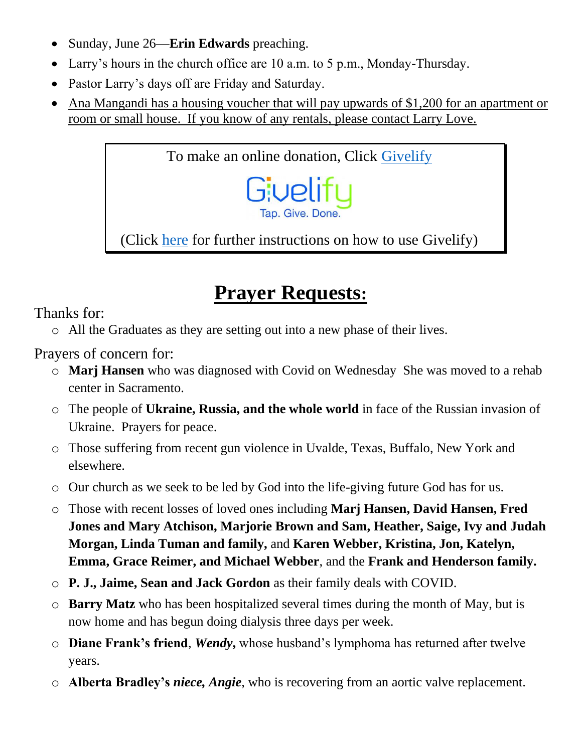- Sunday, June 26—**Erin Edwards** preaching.
- Larry's hours in the church office are 10 a.m. to 5 p.m., Monday-Thursday.
- Pastor Larry's days off are Friday and Saturday.
- Ana Mangandi has a housing voucher that will pay upwards of \$1,200 for an apartment or room or small house. If you know of any rentals, please contact Larry Love.

To make an online donation, Click [Givelify](https://giv.li/u68mht) **JUPI** (Click [here](file:///H:/Oak%20Leaflet/GIVELIFY.pdf) for further instructions on how to use Givelify)

## **Prayer Requests:**

Thanks for:

o All the Graduates as they are setting out into a new phase of their lives.

Prayers of concern for:

- o **Marj Hansen** who was diagnosed with Covid on Wednesday She was moved to a rehab center in Sacramento.
- o The people of **Ukraine, Russia, and the whole world** in face of the Russian invasion of Ukraine. Prayers for peace.
- o Those suffering from recent gun violence in Uvalde, Texas, Buffalo, New York and elsewhere.
- o Our church as we seek to be led by God into the life-giving future God has for us.
- o Those with recent losses of loved ones including **Marj Hansen, David Hansen, Fred Jones and Mary Atchison, Marjorie Brown and Sam, Heather, Saige, Ivy and Judah Morgan, Linda Tuman and family,** and **Karen Webber, Kristina, Jon, Katelyn, Emma, Grace Reimer, and Michael Webber**, and the **Frank and Henderson family.**
- o **P. J., Jaime, Sean and Jack Gordon** as their family deals with COVID.
- o **Barry Matz** who has been hospitalized several times during the month of May, but is now home and has begun doing dialysis three days per week.
- o **Diane Frank's friend**, *Wendy***,** whose husband's lymphoma has returned after twelve years.
- o **Alberta Bradley's** *niece, Angie*, who is recovering from an aortic valve replacement.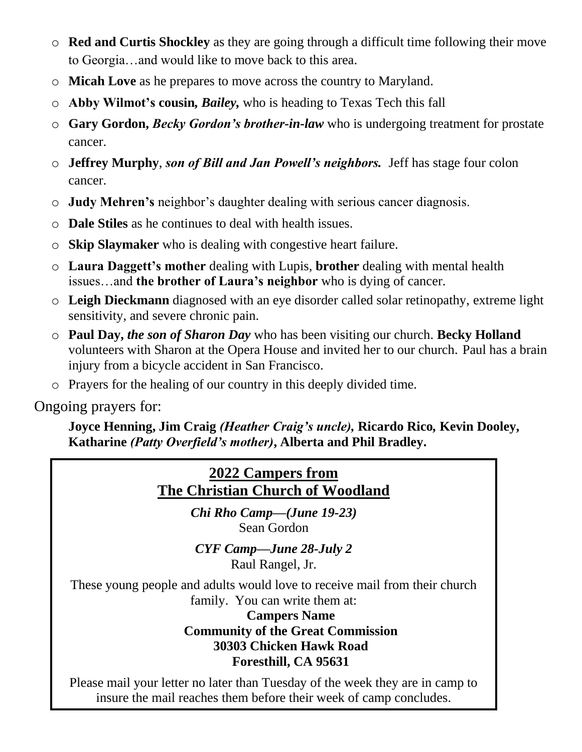- o **Red and Curtis Shockley** as they are going through a difficult time following their move to Georgia…and would like to move back to this area.
- o **Micah Love** as he prepares to move across the country to Maryland.
- o **Abby Wilmot's cousin***, Bailey,* who is heading to Texas Tech this fall
- o **Gary Gordon,** *Becky Gordon's brother-in-law* who is undergoing treatment for prostate cancer.
- o **Jeffrey Murphy**, *son of Bill and Jan Powell's neighbors.* Jeff has stage four colon cancer.
- o **Judy Mehren's** neighbor's daughter dealing with serious cancer diagnosis.
- o **Dale Stiles** as he continues to deal with health issues.
- o **Skip Slaymaker** who is dealing with congestive heart failure.
- o **Laura Daggett's mother** dealing with Lupis, **brother** dealing with mental health issues…and **the brother of Laura's neighbor** who is dying of cancer.
- o **Leigh Dieckmann** diagnosed with an eye disorder called solar retinopathy, extreme light sensitivity, and severe chronic pain.
- o **Paul Day,** *the son of Sharon Day* who has been visiting our church. **Becky Holland** volunteers with Sharon at the Opera House and invited her to our church. Paul has a brain injury from a bicycle accident in San Francisco.
- o Prayers for the healing of our country in this deeply divided time.

Ongoing prayers for:

**Joyce Henning, Jim Craig** *(Heather Craig's uncle),* **Ricardo Rico***,* **Kevin Dooley, Katharine** *(Patty Overfield's mother)***, Alberta and Phil Bradley.**

### **2022 Campers from The Christian Church of Woodland**

*Chi Rho Camp—(June 19-23)* Sean Gordon

*CYF Camp—June 28-July 2* Raul Rangel, Jr.

These young people and adults would love to receive mail from their church family. You can write them at:

**Campers Name Community of the Great Commission 30303 Chicken Hawk Road Foresthill, CA 95631**

Please mail your letter no later than Tuesday of the week they are in camp to insure the mail reaches them before their week of camp concludes.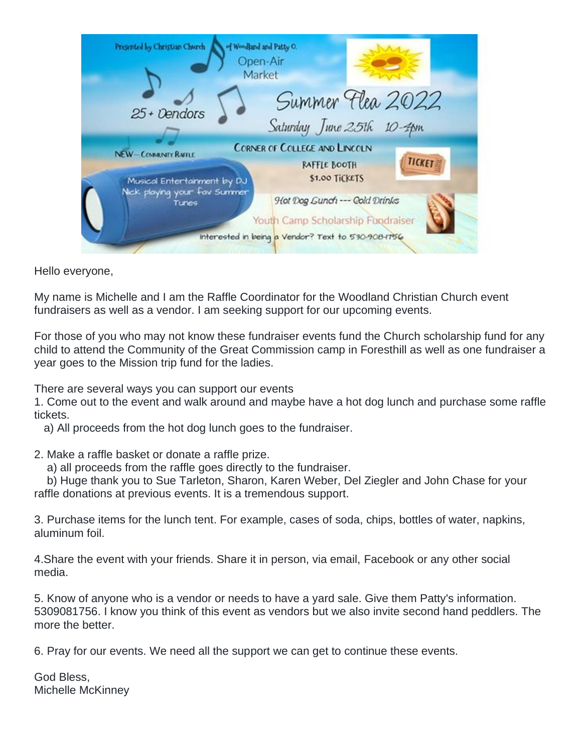

Hello everyone,

My name is Michelle and I am the Raffle Coordinator for the Woodland Christian Church event fundraisers as well as a vendor. I am seeking support for our upcoming events.

For those of you who may not know these fundraiser events fund the Church scholarship fund for any child to attend the Community of the Great Commission camp in Foresthill as well as one fundraiser a year goes to the Mission trip fund for the ladies.

There are several ways you can support our events

1. Come out to the event and walk around and maybe have a hot dog lunch and purchase some raffle tickets.

a) All proceeds from the hot dog lunch goes to the fundraiser.

2. Make a raffle basket or donate a raffle prize.

a) all proceeds from the raffle goes directly to the fundraiser.

b) Huge thank you to Sue Tarleton, Sharon, Karen Weber, Del Ziegler and John Chase for your raffle donations at previous events. It is a tremendous support.

3. Purchase items for the lunch tent. For example, cases of soda, chips, bottles of water, napkins, aluminum foil.

4.Share the event with your friends. Share it in person, via email, Facebook or any other social media.

5. Know of anyone who is a vendor or needs to have a yard sale. Give them Patty's information. 5309081756. I know you think of this event as vendors but we also invite second hand peddlers. The more the better.

6. Pray for our events. We need all the support we can get to continue these events.

God Bless, Michelle McKinney